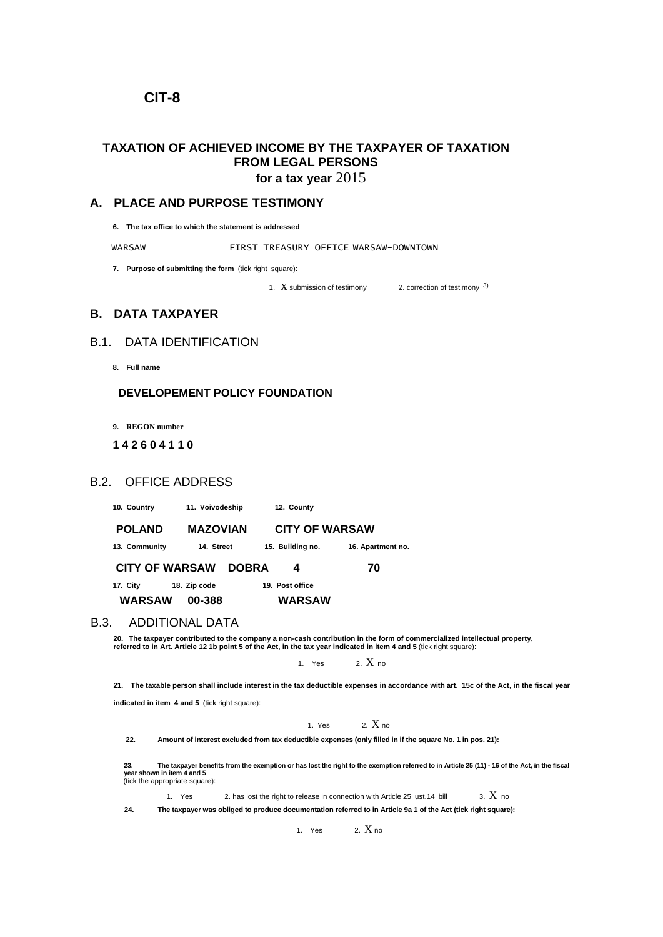## **CIT-8**

# **TAXATION OF ACHIEVED INCOME BY THE TAXPAYER OF TAXATION FROM LEGAL PERSONS**

**for a tax year** 2015

### **A. PLACE AND PURPOSE TESTIMONY**

**6. The tax office to which the statement is addressed**

WARSAW FIRST TREASURY OFFICE WARSAW-DOWNTOWN

**7. Purpose of submitting the form** (tick right square):

1.  $X$  submission of testimony 2. correction of testimony  $3$ )

**B. DATA TAXPAYER**

## B.1. DATA IDENTIFICATION

**8. Full name**

#### **DEVELOPEMENT POLICY FOUNDATION**

**9. REGON number**

#### **1 4 2 6 0 4 1 1 0**

### B.2. OFFICE ADDRESS

**10. Country 11. Voivodeship 12. County**

 **POLAND MAZOVIAN CITY OF WARSAW 13. Community 14. Street 15. Building no. 16. Apartment no. CITY OF WARSAW DOBRA 4 70**

**17. City 18. Zip code 19. Post office WARSAW 00-388 WARSAW**

#### B.3. ADDITIONAL DATA

**20. The taxpayer contributed to the company a non-cash contribution in the form of commercialized intellectual property, referred to in Art. Article 12 1b point 5 of the Act, in the tax year indicated in item 4 and 5** (tick right square):

1. Yes  $2. X_{\text{no}}$ 

**21. The taxable person shall include interest in the tax deductible expenses in accordance with art. 15c of the Act, in the fiscal year** 

**indicated in item 4 and 5** (tick right square):

1. Yes  $2. X_{10}$ 

**22. Amount of interest excluded from tax deductible expenses (only filled in if the square No. 1 in pos. 21):**

23.<br>year shown in item 4 and 5<br>(tick the appropriate square):<br>(tick the appropriate square):

1. Yes 2. has lost the right to release in connection with Article 25 ust.14 bill  $\qquad$  3.  $X$  no

**24. The taxpayer was obliged to produce documentation referred to in Article 9a 1 of the Act (tick right square):**

1. Yes  $2. X_{\text{no}}$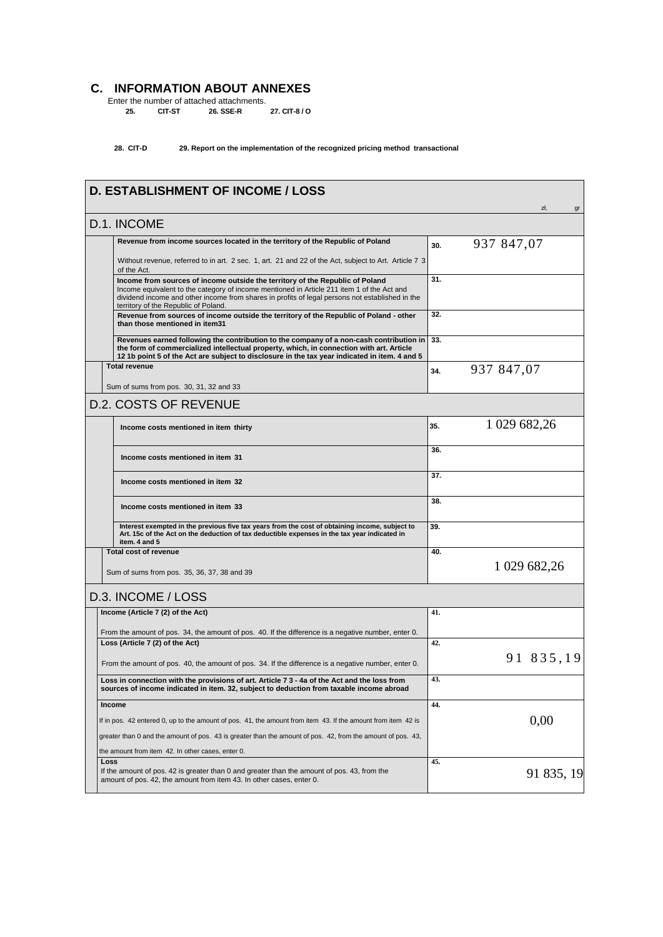## **C. INFORMATION ABOUT ANNEXES**

Enter the number of attached attachments. **25. CIT-ST 26. SSE-R 27. CIT-8 / O** 

**28. CIT-D 29. Report on the implementation of the recognized pricing method transactional**

| <b>D. ESTABLISHMENT OF INCOME / LOSS</b>                                                                                                                                                                                                                                                                               |     | zł.<br>gr    |
|------------------------------------------------------------------------------------------------------------------------------------------------------------------------------------------------------------------------------------------------------------------------------------------------------------------------|-----|--------------|
| D.1. INCOME                                                                                                                                                                                                                                                                                                            |     |              |
| Revenue from income sources located in the territory of the Republic of Poland                                                                                                                                                                                                                                         | 30. | 937 847,07   |
| Without revenue, referred to in art. 2 sec. 1, art. 21 and 22 of the Act, subject to Art. Article 7 3<br>of the Act.                                                                                                                                                                                                   |     |              |
| Income from sources of income outside the territory of the Republic of Poland<br>Income equivalent to the category of income mentioned in Article 211 item 1 of the Act and<br>dividend income and other income from shares in profits of legal persons not established in the<br>territory of the Republic of Poland. | 31. |              |
| Revenue from sources of income outside the territory of the Republic of Poland - other<br>than those mentioned in item31                                                                                                                                                                                               | 32. |              |
| Revenues earned following the contribution to the company of a non-cash contribution in<br>the form of commercialized intellectual property, which, in connection with art. Article<br>12 1b point 5 of the Act are subject to disclosure in the tax year indicated in item. 4 and 5                                   | 33. |              |
| <b>Total revenue</b>                                                                                                                                                                                                                                                                                                   | 34. | 937 847,07   |
| Sum of sums from pos. 30, 31, 32 and 33                                                                                                                                                                                                                                                                                |     |              |
| <b>D.2. COSTS OF REVENUE</b>                                                                                                                                                                                                                                                                                           |     |              |
| Income costs mentioned in item thirty                                                                                                                                                                                                                                                                                  | 35. | 1 029 682,26 |
| Income costs mentioned in item 31                                                                                                                                                                                                                                                                                      | 36. |              |
| Income costs mentioned in item 32                                                                                                                                                                                                                                                                                      | 37. |              |
| Income costs mentioned in item 33                                                                                                                                                                                                                                                                                      | 38. |              |
| Interest exempted in the previous five tax years from the cost of obtaining income, subject to<br>Art. 15c of the Act on the deduction of tax deductible expenses in the tax year indicated in<br>item. 4 and 5                                                                                                        | 39. |              |
| <b>Total cost of revenue</b>                                                                                                                                                                                                                                                                                           | 40. |              |
| Sum of sums from pos. 35, 36, 37, 38 and 39                                                                                                                                                                                                                                                                            |     | 1 029 682,26 |
| D.3. INCOME / LOSS                                                                                                                                                                                                                                                                                                     |     |              |
| Income (Article 7 (2) of the Act)                                                                                                                                                                                                                                                                                      | 41. |              |
| From the amount of pos. 34, the amount of pos. 40. If the difference is a negative number, enter 0.                                                                                                                                                                                                                    |     |              |
| Loss (Article 7 (2) of the Act)                                                                                                                                                                                                                                                                                        | 42. |              |
| From the amount of pos. 40, the amount of pos. 34. If the difference is a negative number, enter 0.                                                                                                                                                                                                                    |     | 91 835,19    |
| Loss in connection with the provisions of art. Article 7 3 - 4a of the Act and the loss from<br>sources of income indicated in item. 32, subject to deduction from taxable income abroad                                                                                                                               | 43. |              |
| <b>Income</b>                                                                                                                                                                                                                                                                                                          | 44. |              |
| If in pos. 42 entered 0, up to the amount of pos. 41, the amount from item 43. If the amount from item 42 is                                                                                                                                                                                                           |     | 0,00         |
| greater than 0 and the amount of pos. 43 is greater than the amount of pos. 42, from the amount of pos. 43,                                                                                                                                                                                                            |     |              |
| the amount from item 42. In other cases, enter 0.<br>Loss                                                                                                                                                                                                                                                              | 45. |              |
| If the amount of pos. 42 is greater than 0 and greater than the amount of pos. 43, from the<br>amount of pos. 42, the amount from item 43. In other cases, enter 0.                                                                                                                                                    |     | 91 835, 19   |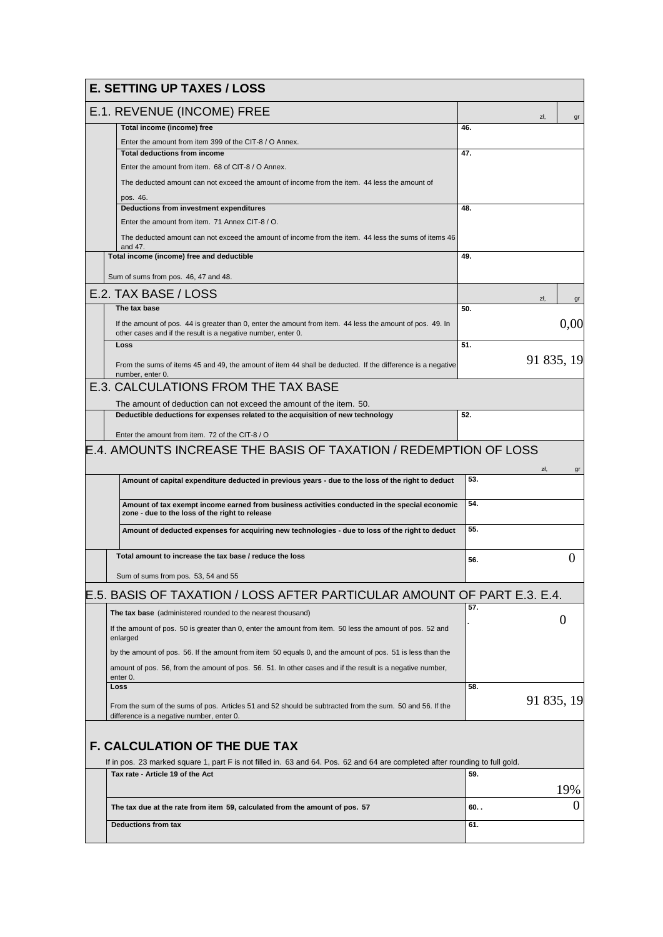| <b>E. SETTING UP TAXES / LOSS</b>                                                                                                                    |       |            |          |
|------------------------------------------------------------------------------------------------------------------------------------------------------|-------|------------|----------|
| E.1. REVENUE (INCOME) FREE                                                                                                                           |       | zł.        | gr       |
| Total income (income) free                                                                                                                           | 46.   |            |          |
| Enter the amount from item 399 of the CIT-8 / O Annex.                                                                                               |       |            |          |
| <b>Total deductions from income</b>                                                                                                                  | 47.   |            |          |
| Enter the amount from item. 68 of CIT-8 / O Annex.                                                                                                   |       |            |          |
| The deducted amount can not exceed the amount of income from the item. 44 less the amount of                                                         |       |            |          |
| pos. 46.<br>Deductions from investment expenditures                                                                                                  | 48.   |            |          |
| Enter the amount from item. 71 Annex CIT-8 / O.                                                                                                      |       |            |          |
| The deducted amount can not exceed the amount of income from the item. 44 less the sums of items 46                                                  |       |            |          |
| and 47.                                                                                                                                              |       |            |          |
| Total income (income) free and deductible                                                                                                            | 49.   |            |          |
| Sum of sums from pos. 46, 47 and 48.                                                                                                                 |       |            |          |
| E.2. TAX BASE / LOSS                                                                                                                                 | zł,   |            | gr       |
| The tax base                                                                                                                                         | 50.   |            |          |
| If the amount of pos. 44 is greater than 0, enter the amount from item. 44 less the amount of pos. 49. In                                            |       |            | 0,00     |
| other cases and if the result is a negative number, enter 0.                                                                                         |       |            |          |
| Loss                                                                                                                                                 | 51.   |            |          |
| From the sums of items 45 and 49, the amount of item 44 shall be deducted. If the difference is a negative<br>number, enter 0.                       |       | 91 835, 19 |          |
| E.3. CALCULATIONS FROM THE TAX BASE                                                                                                                  |       |            |          |
| The amount of deduction can not exceed the amount of the item. 50.                                                                                   |       |            |          |
| Deductible deductions for expenses related to the acquisition of new technology                                                                      | 52.   |            |          |
| Enter the amount from item. 72 of the CIT-8 / O                                                                                                      |       |            |          |
| E.4. AMOUNTS INCREASE THE BASIS OF TAXATION / REDEMPTION OF LOSS                                                                                     |       |            |          |
|                                                                                                                                                      |       | zł.        | gr       |
| Amount of capital expenditure deducted in previous years - due to the loss of the right to deduct                                                    | 53.   |            |          |
| Amount of tax exempt income earned from business activities conducted in the special economic<br>zone - due to the loss of the right to release      | 54.   |            |          |
| Amount of deducted expenses for acquiring new technologies - due to loss of the right to deduct                                                      | 55.   |            |          |
| Total amount to increase the tax base / reduce the loss                                                                                              | 56.   |            | $\theta$ |
| Sum of sums from pos. 53, 54 and 55                                                                                                                  |       |            |          |
| E.5. BASIS OF TAXATION / LOSS AFTER PARTICULAR AMOUNT OF PART E.3. E.4.                                                                              |       |            |          |
| The tax base (administered rounded to the nearest thousand)                                                                                          | 57.   |            |          |
| If the amount of pos. 50 is greater than 0, enter the amount from item. 50 less the amount of pos. 52 and<br>enlarged                                |       | 0          |          |
| by the amount of pos. 56. If the amount from item 50 equals 0, and the amount of pos. 51 is less than the                                            |       |            |          |
| amount of pos. 56, from the amount of pos. 56. 51. In other cases and if the result is a negative number,                                            |       |            |          |
| enter 0.<br>Loss                                                                                                                                     | 58.   |            |          |
|                                                                                                                                                      |       | 91 835, 19 |          |
| From the sum of the sums of pos. Articles 51 and 52 should be subtracted from the sum. 50 and 56. If the<br>difference is a negative number, enter 0 |       |            |          |
| <b>F. CALCULATION OF THE DUE TAX</b>                                                                                                                 |       |            |          |
| If in pos. 23 marked square 1, part F is not filled in. 63 and 64. Pos. 62 and 64 are completed after rounding to full gold.                         |       |            |          |
| Tax rate - Article 19 of the Act                                                                                                                     | 59.   |            |          |
|                                                                                                                                                      |       |            | 19%      |
| The tax due at the rate from item 59, calculated from the amount of pos. 57                                                                          | 60. . |            | 0        |
| <b>Deductions from tax</b>                                                                                                                           | 61.   |            |          |
|                                                                                                                                                      |       |            |          |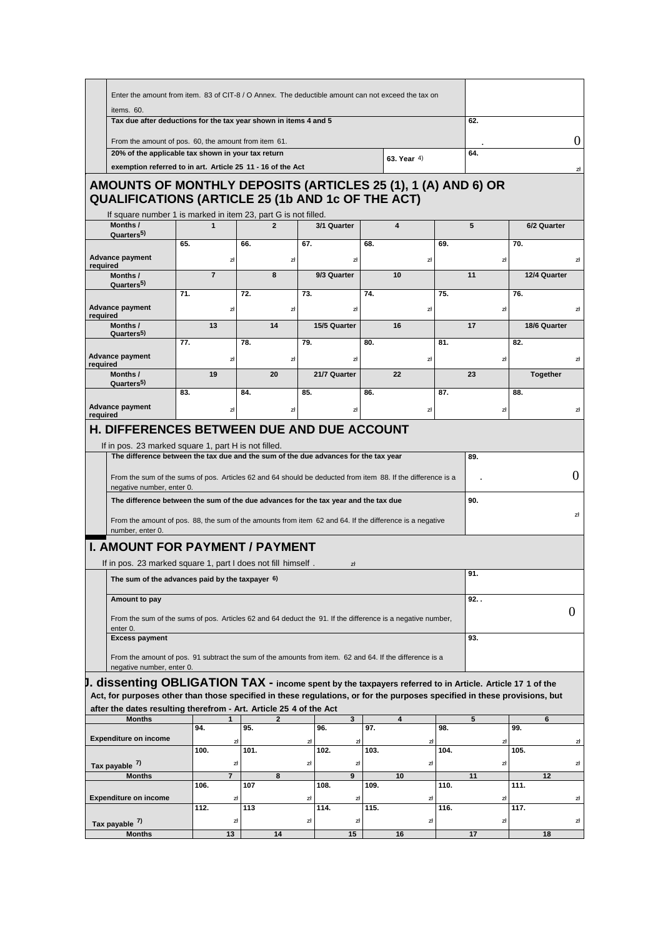| Enter the amount from item. 83 of CIT-8 / O Annex. The deductible amount can not exceed the tax on                                                                                                                 |                                                      |                       |                |                        |      |                         |           |     |                 |          |
|--------------------------------------------------------------------------------------------------------------------------------------------------------------------------------------------------------------------|------------------------------------------------------|-----------------------|----------------|------------------------|------|-------------------------|-----------|-----|-----------------|----------|
| items. 60.                                                                                                                                                                                                         |                                                      |                       |                |                        |      |                         |           |     |                 |          |
| Tax due after deductions for the tax year shown in items 4 and 5                                                                                                                                                   |                                                      |                       |                |                        |      |                         |           | 62. |                 |          |
|                                                                                                                                                                                                                    | From the amount of pos. 60, the amount from item 61. |                       |                |                        |      |                         |           |     | $\theta$        |          |
| 20% of the applicable tax shown in your tax return<br>exemption referred to in art. Article 25 11 - 16 of the Act                                                                                                  |                                                      |                       |                |                        |      | 63. Year 4)             |           | 64. |                 |          |
|                                                                                                                                                                                                                    |                                                      |                       |                |                        |      |                         |           |     |                 | zł       |
| AMOUNTS OF MONTHLY DEPOSITS (ARTICLES 25 (1), 1 (A) AND 6) OR<br><b>QUALIFICATIONS (ARTICLE 25 (1b AND 1c OF THE ACT)</b>                                                                                          |                                                      |                       |                |                        |      |                         |           |     |                 |          |
| If square number 1 is marked in item 23, part G is not filled.<br>Months /<br>Quarters <sup>5)</sup>                                                                                                               | $\mathbf{1}$                                         |                       | $\overline{2}$ | 3/1 Quarter            |      | $\overline{\mathbf{4}}$ |           | 5   | 6/2 Quarter     |          |
|                                                                                                                                                                                                                    | 65.                                                  | 66.                   |                | 67.                    | 68.  |                         | 69.       |     | 70.             |          |
| <b>Advance payment</b><br>required                                                                                                                                                                                 |                                                      | zł                    | zł             | zł                     |      |                         | zł        | zł  |                 | zł       |
| Months /                                                                                                                                                                                                           | $\overline{7}$                                       |                       | 8              | 9/3 Quarter            |      | 10                      |           | 11  | 12/4 Quarter    |          |
| Quarters <sup>5)</sup>                                                                                                                                                                                             | 71.                                                  | 72.                   |                | 73.                    | 74.  |                         | 75.       |     | 76.             |          |
| <b>Advance payment</b>                                                                                                                                                                                             |                                                      | zł                    | zł             | zł                     |      |                         | zł        | zł  |                 | zł       |
| required                                                                                                                                                                                                           |                                                      |                       |                |                        |      |                         |           |     |                 |          |
| Months /<br>Quarters <sub>5</sub> )                                                                                                                                                                                | 13                                                   |                       | 14             | 15/5 Quarter           |      | 16                      |           | 17  | 18/6 Quarter    |          |
|                                                                                                                                                                                                                    | 77.                                                  | 78.                   |                | 79.                    | 80.  |                         | 81.       |     | 82.             |          |
| <b>Advance payment</b><br>required                                                                                                                                                                                 |                                                      | zł                    | zł             | zł                     |      |                         | zł        | zł  |                 | zł       |
| Months /                                                                                                                                                                                                           | 19                                                   |                       | 20             | 21/7 Quarter           |      | 22                      |           | 23  | <b>Together</b> |          |
| Quarters <sup>5)</sup>                                                                                                                                                                                             | 83.                                                  | 84.                   |                | 85.                    | 86.  |                         | 87.       |     | 88.             |          |
| <b>Advance payment</b>                                                                                                                                                                                             |                                                      |                       |                |                        |      |                         |           |     |                 |          |
| required                                                                                                                                                                                                           |                                                      | zł                    | zł             | zł                     |      |                         | zł        | zł  |                 | zł       |
| The difference between the sum of the due advances for the tax year and the tax due<br>From the amount of pos. 88, the sum of the amounts from item 62 and 64. If the difference is a negative<br>number, enter 0. |                                                      |                       |                |                        |      |                         |           | 90. |                 | zł       |
| <b>I. AMOUNT FOR PAYMENT / PAYMENT</b><br>If in pos. 23 marked square 1, part I does not fill himself.                                                                                                             |                                                      |                       |                | zł                     |      |                         |           |     |                 |          |
| The sum of the advances paid by the taxpayer 6)                                                                                                                                                                    |                                                      |                       |                |                        |      |                         |           | 91. |                 |          |
| Amount to pay                                                                                                                                                                                                      |                                                      |                       |                |                        |      |                         |           | 92. |                 |          |
| From the sum of the sums of pos. Articles 62 and 64 deduct the 91. If the difference is a negative number,<br>enter 0.                                                                                             |                                                      |                       |                |                        |      |                         |           |     |                 | $\theta$ |
| <b>Excess payment</b>                                                                                                                                                                                              |                                                      |                       |                |                        |      |                         |           | 93. |                 |          |
| From the amount of pos. 91 subtract the sum of the amounts from item. 62 and 64. If the difference is a<br>negative number, enter 0.                                                                               |                                                      |                       |                |                        |      |                         |           |     |                 |          |
| $J.$ dissenting OBLIGATION TAX - income spent by the taxpayers referred to in Article. Article 17 1 of the                                                                                                         |                                                      |                       |                |                        |      |                         |           |     |                 |          |
| Act, for purposes other than those specified in these regulations, or for the purposes specified in these provisions, but<br>after the dates resulting therefrom - Art. Article 25 4 of the Act                    |                                                      |                       |                |                        |      |                         |           |     |                 |          |
| <b>Months</b>                                                                                                                                                                                                      |                                                      |                       | $\overline{2}$ | 3 <sup>1</sup>         |      | 4                       |           | 5   | 6               |          |
| <b>Expenditure on income</b>                                                                                                                                                                                       | 94.                                                  | 95.<br>zł             |                | 96.<br>zł<br>zł        | 97.  |                         | 98.<br>zł | zł  | 99.             | zł       |
|                                                                                                                                                                                                                    | 100.                                                 | 101.                  |                | 102.                   | 103. |                         | 104.      |     | 105.            |          |
| Tax payable 7)                                                                                                                                                                                                     |                                                      | zł                    |                | zł<br>zł               |      |                         | zł        | zł  |                 | zł       |
| <b>Months</b>                                                                                                                                                                                                      | 106.                                                 | $\overline{7}$<br>107 | 8              | $\overline{9}$<br>108. | 109. | 10                      | 110.      | 11  | 12<br>111.      |          |
| <b>Expenditure on income</b>                                                                                                                                                                                       |                                                      | zł                    |                | zł<br>zł               |      |                         | zł        | zł  |                 | zł       |
|                                                                                                                                                                                                                    | 112.                                                 | 113                   |                | 114.                   | 115. |                         | 116.      |     | 117.            |          |
| Tax payable 7)                                                                                                                                                                                                     |                                                      | 과                     |                | zł<br>zł               |      |                         | zł        | zł  |                 | zł       |
| <b>Months</b>                                                                                                                                                                                                      |                                                      | 13                    | 14             | 15                     |      | 16                      |           | 17  | 18              |          |